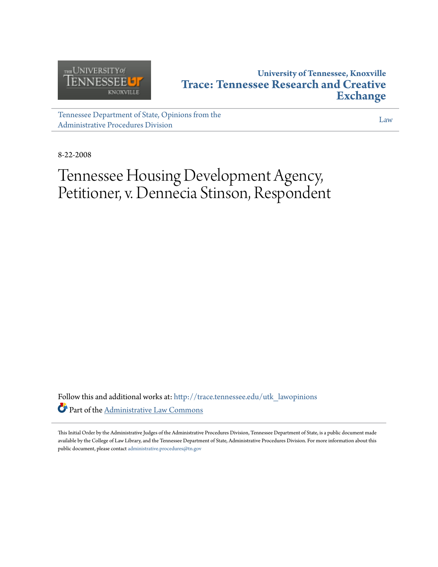

# **University of Tennessee, Knoxville [Trace: Tennessee Research and Creative](http://trace.tennessee.edu?utm_source=trace.tennessee.edu%2Futk_lawopinions%2F3018&utm_medium=PDF&utm_campaign=PDFCoverPages) [Exchange](http://trace.tennessee.edu?utm_source=trace.tennessee.edu%2Futk_lawopinions%2F3018&utm_medium=PDF&utm_campaign=PDFCoverPages)**

[Tennessee Department of State, Opinions from the](http://trace.tennessee.edu/utk_lawopinions?utm_source=trace.tennessee.edu%2Futk_lawopinions%2F3018&utm_medium=PDF&utm_campaign=PDFCoverPages) [Administrative Procedures Division](http://trace.tennessee.edu/utk_lawopinions?utm_source=trace.tennessee.edu%2Futk_lawopinions%2F3018&utm_medium=PDF&utm_campaign=PDFCoverPages)

[Law](http://trace.tennessee.edu/utk-law?utm_source=trace.tennessee.edu%2Futk_lawopinions%2F3018&utm_medium=PDF&utm_campaign=PDFCoverPages)

8-22-2008

# Tennessee Housing Development Agency, Petitioner, v. Dennecia Stinson, Respondent

Follow this and additional works at: [http://trace.tennessee.edu/utk\\_lawopinions](http://trace.tennessee.edu/utk_lawopinions?utm_source=trace.tennessee.edu%2Futk_lawopinions%2F3018&utm_medium=PDF&utm_campaign=PDFCoverPages) Part of the [Administrative Law Commons](http://network.bepress.com/hgg/discipline/579?utm_source=trace.tennessee.edu%2Futk_lawopinions%2F3018&utm_medium=PDF&utm_campaign=PDFCoverPages)

This Initial Order by the Administrative Judges of the Administrative Procedures Division, Tennessee Department of State, is a public document made available by the College of Law Library, and the Tennessee Department of State, Administrative Procedures Division. For more information about this public document, please contact [administrative.procedures@tn.gov](mailto:administrative.procedures@tn.gov)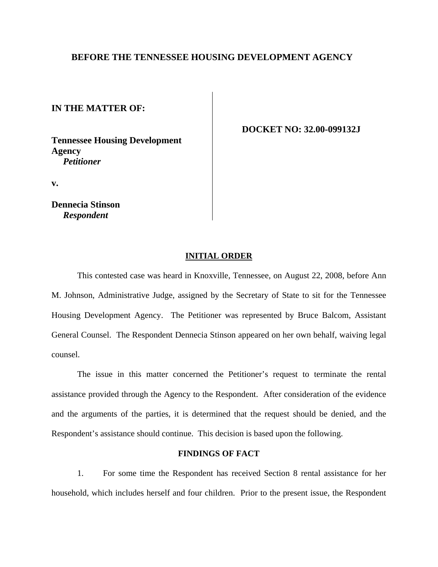### **BEFORE THE TENNESSEE HOUSING DEVELOPMENT AGENCY**

**IN THE MATTER OF:** 

**Tennessee Housing Development Agency**  *Petitioner*

 **DOCKET NO: 32.00-099132J** 

**v.** 

**Dennecia Stinson** *Respondent* 

#### **INITIAL ORDER**

 This contested case was heard in Knoxville, Tennessee, on August 22, 2008, before Ann M. Johnson, Administrative Judge, assigned by the Secretary of State to sit for the Tennessee Housing Development Agency. The Petitioner was represented by Bruce Balcom, Assistant General Counsel. The Respondent Dennecia Stinson appeared on her own behalf, waiving legal counsel.

 The issue in this matter concerned the Petitioner's request to terminate the rental assistance provided through the Agency to the Respondent. After consideration of the evidence and the arguments of the parties, it is determined that the request should be denied, and the Respondent's assistance should continue. This decision is based upon the following.

## **FINDINGS OF FACT**

 1. For some time the Respondent has received Section 8 rental assistance for her household, which includes herself and four children. Prior to the present issue, the Respondent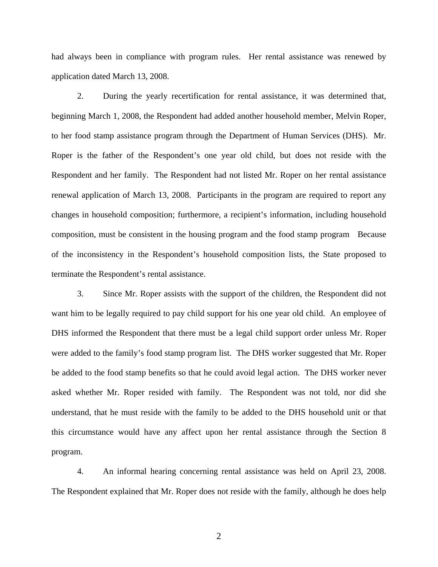had always been in compliance with program rules. Her rental assistance was renewed by application dated March 13, 2008.

 2. During the yearly recertification for rental assistance, it was determined that, beginning March 1, 2008, the Respondent had added another household member, Melvin Roper, to her food stamp assistance program through the Department of Human Services (DHS). Mr. Roper is the father of the Respondent's one year old child, but does not reside with the Respondent and her family. The Respondent had not listed Mr. Roper on her rental assistance renewal application of March 13, 2008. Participants in the program are required to report any changes in household composition; furthermore, a recipient's information, including household composition, must be consistent in the housing program and the food stamp program Because of the inconsistency in the Respondent's household composition lists, the State proposed to terminate the Respondent's rental assistance.

 3. Since Mr. Roper assists with the support of the children, the Respondent did not want him to be legally required to pay child support for his one year old child. An employee of DHS informed the Respondent that there must be a legal child support order unless Mr. Roper were added to the family's food stamp program list. The DHS worker suggested that Mr. Roper be added to the food stamp benefits so that he could avoid legal action. The DHS worker never asked whether Mr. Roper resided with family. The Respondent was not told, nor did she understand, that he must reside with the family to be added to the DHS household unit or that this circumstance would have any affect upon her rental assistance through the Section 8 program.

 4. An informal hearing concerning rental assistance was held on April 23, 2008. The Respondent explained that Mr. Roper does not reside with the family, although he does help

2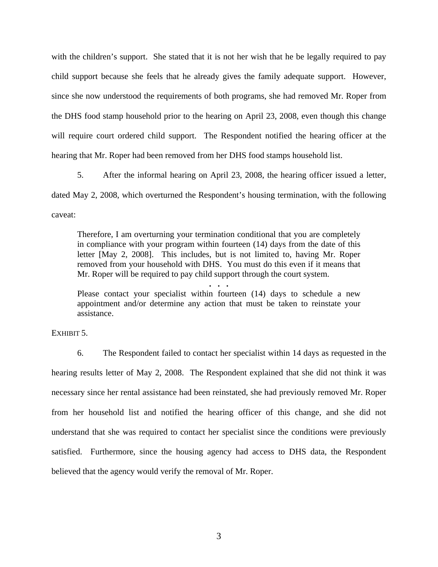with the children's support. She stated that it is not her wish that he be legally required to pay child support because she feels that he already gives the family adequate support. However, since she now understood the requirements of both programs, she had removed Mr. Roper from the DHS food stamp household prior to the hearing on April 23, 2008, even though this change will require court ordered child support. The Respondent notified the hearing officer at the hearing that Mr. Roper had been removed from her DHS food stamps household list.

 5. After the informal hearing on April 23, 2008, the hearing officer issued a letter, dated May 2, 2008, which overturned the Respondent's housing termination, with the following caveat:

Therefore, I am overturning your termination conditional that you are completely in compliance with your program within fourteen (14) days from the date of this letter [May 2, 2008]. This includes, but is not limited to, having Mr. Roper removed from your household with DHS. You must do this even if it means that Mr. Roper will be required to pay child support through the court system.

**. . .** Please contact your specialist within fourteen (14) days to schedule a new appointment and/or determine any action that must be taken to reinstate your assistance.

EXHIBIT 5.

 6. The Respondent failed to contact her specialist within 14 days as requested in the hearing results letter of May 2, 2008. The Respondent explained that she did not think it was necessary since her rental assistance had been reinstated, she had previously removed Mr. Roper from her household list and notified the hearing officer of this change, and she did not understand that she was required to contact her specialist since the conditions were previously satisfied. Furthermore, since the housing agency had access to DHS data, the Respondent believed that the agency would verify the removal of Mr. Roper.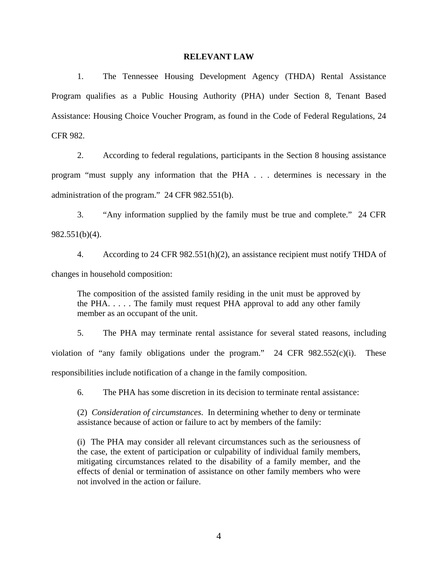#### **RELEVANT LAW**

 1. The Tennessee Housing Development Agency (THDA) Rental Assistance Program qualifies as a Public Housing Authority (PHA) under Section 8, Tenant Based Assistance: Housing Choice Voucher Program, as found in the Code of Federal Regulations, 24 CFR 982.

 2. According to federal regulations, participants in the Section 8 housing assistance program "must supply any information that the PHA . . . determines is necessary in the administration of the program." 24 CFR 982.551(b).

 3. "Any information supplied by the family must be true and complete." 24 CFR 982.551(b)(4).

 4. According to 24 CFR 982.551(h)(2), an assistance recipient must notify THDA of changes in household composition:

The composition of the assisted family residing in the unit must be approved by the PHA $\ldots$ . The family must request PHA approval to add any other family member as an occupant of the unit.

 5. The PHA may terminate rental assistance for several stated reasons, including violation of "any family obligations under the program." 24 CFR 982.552(c)(i). These responsibilities include notification of a change in the family composition.

6. The PHA has some discretion in its decision to terminate rental assistance:

(2) *Consideration of circumstances*. In determining whether to deny or terminate assistance because of action or failure to act by members of the family:

(i) The PHA may consider all relevant circumstances such as the seriousness of the case, the extent of participation or culpability of individual family members, mitigating circumstances related to the disability of a family member, and the effects of denial or termination of assistance on other family members who were not involved in the action or failure.

4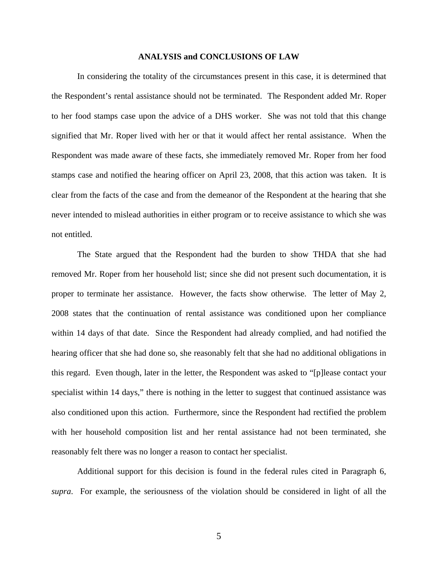#### **ANALYSIS and CONCLUSIONS OF LAW**

 In considering the totality of the circumstances present in this case, it is determined that the Respondent's rental assistance should not be terminated. The Respondent added Mr. Roper to her food stamps case upon the advice of a DHS worker. She was not told that this change signified that Mr. Roper lived with her or that it would affect her rental assistance. When the Respondent was made aware of these facts, she immediately removed Mr. Roper from her food stamps case and notified the hearing officer on April 23, 2008, that this action was taken. It is clear from the facts of the case and from the demeanor of the Respondent at the hearing that she never intended to mislead authorities in either program or to receive assistance to which she was not entitled.

 The State argued that the Respondent had the burden to show THDA that she had removed Mr. Roper from her household list; since she did not present such documentation, it is proper to terminate her assistance. However, the facts show otherwise. The letter of May 2, 2008 states that the continuation of rental assistance was conditioned upon her compliance within 14 days of that date. Since the Respondent had already complied, and had notified the hearing officer that she had done so, she reasonably felt that she had no additional obligations in this regard. Even though, later in the letter, the Respondent was asked to "[p]lease contact your specialist within 14 days," there is nothing in the letter to suggest that continued assistance was also conditioned upon this action. Furthermore, since the Respondent had rectified the problem with her household composition list and her rental assistance had not been terminated, she reasonably felt there was no longer a reason to contact her specialist.

 Additional support for this decision is found in the federal rules cited in Paragraph 6, *supra*. For example, the seriousness of the violation should be considered in light of all the